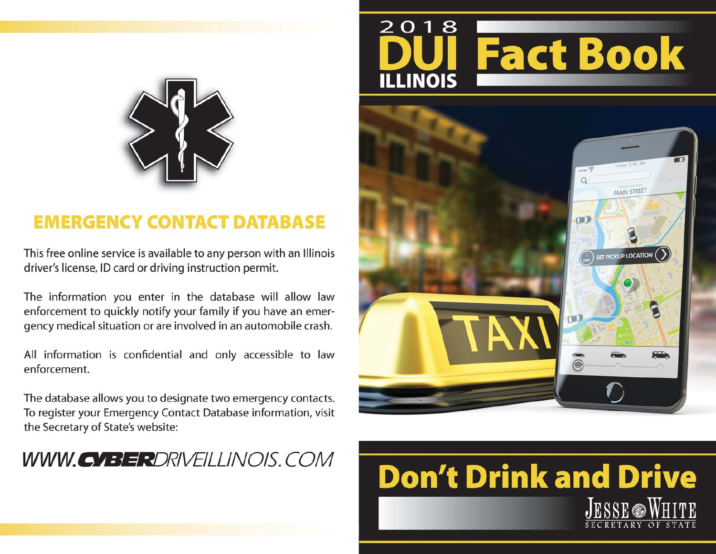



# **Don't Drink and Drive ESSE WHITE**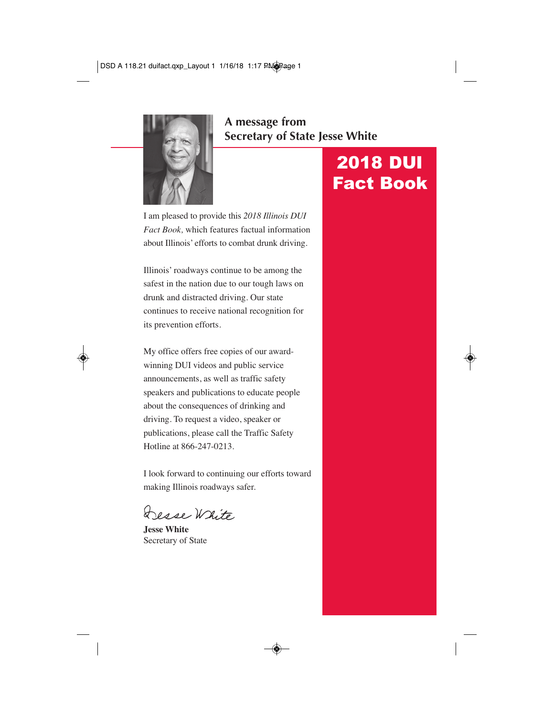

### **A message from Secretary of State Jesse White**

I am pleased to provide this *2018 Illinois DUI Fact Book,* which features factual information about Illinois' efforts to combat drunk driving.

Illinois' roadways continue to be among the safest in the nation due to our tough laws on drunk and distracted driving. Our state continues to receive national recognition for its prevention efforts.

My office offers free copies of our awardwinning DUI videos and public service announcements, as well as traffic safety speakers and publications to educate people about the consequences of drinking and driving. To request a video, speaker or publications, please call the Traffic Safety Hotline at 866-247-0213.

I look forward to continuing our efforts toward making Illinois roadways safer.

esse White

**Jesse White** Secretary of State

# 2018 DUI Fact Book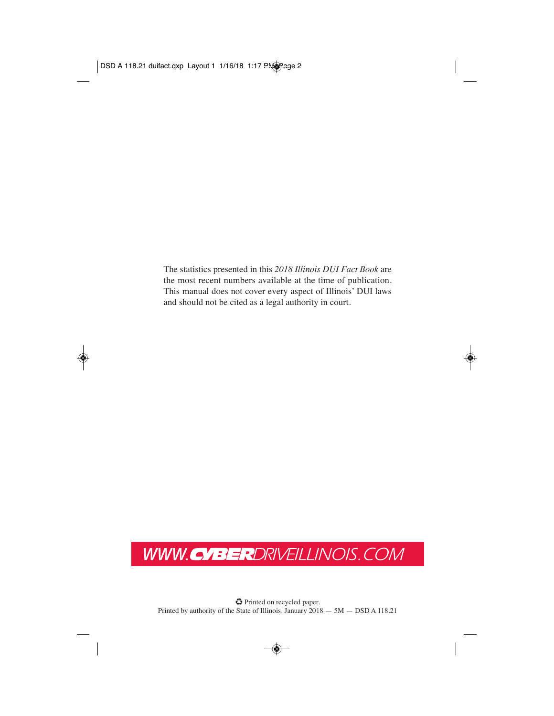The statistics presented in this *2018 Illinois DUI Fact Book* are the most recent numbers available at the time of publication. This manual does not cover every aspect of Illinois' DUI laws and should not be cited as a legal authority in court.

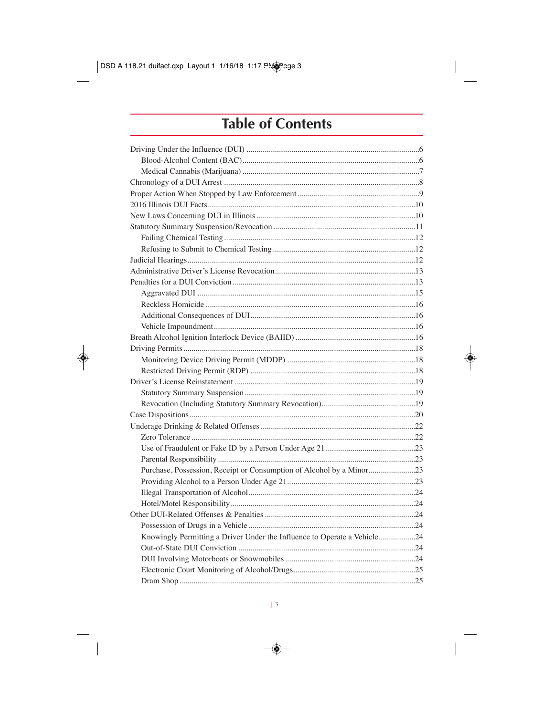### **Table of Contents**

| Purchase, Possession, Receipt or Consumption of Alcohol by a Minor23     |  |
|--------------------------------------------------------------------------|--|
|                                                                          |  |
|                                                                          |  |
|                                                                          |  |
|                                                                          |  |
|                                                                          |  |
| Knowingly Permitting a Driver Under the Influence to Operate a Vehicle24 |  |
|                                                                          |  |
|                                                                          |  |
|                                                                          |  |
|                                                                          |  |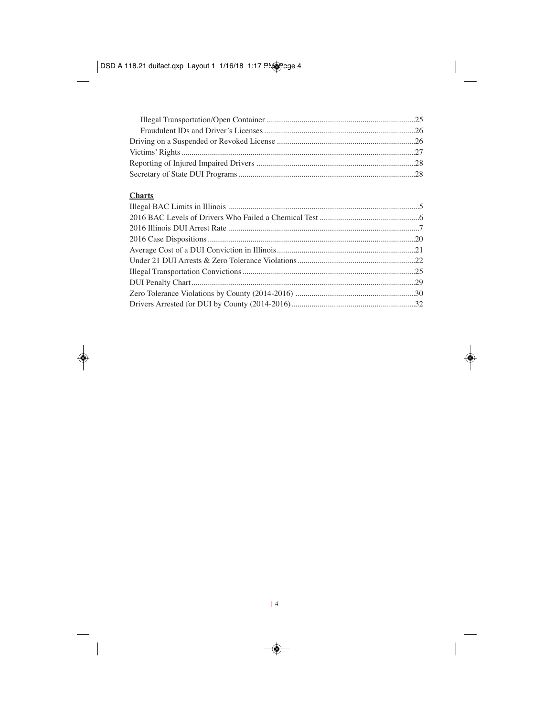#### **Charts**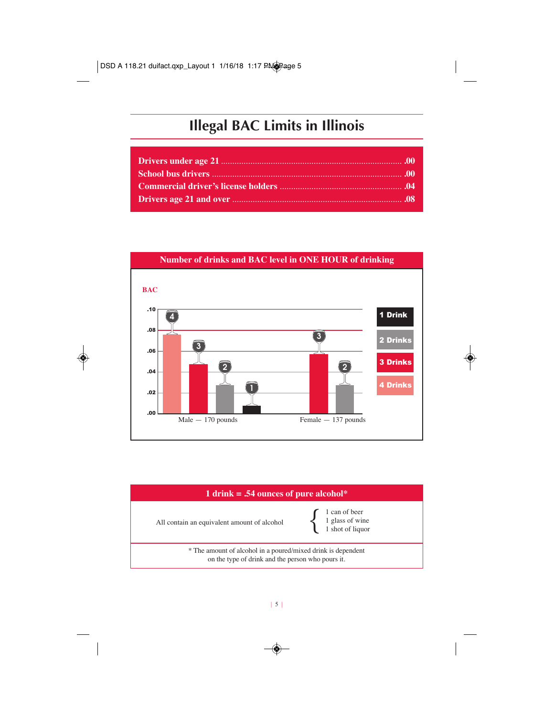### **Illegal BAC Limits in Illinois**



#### **1 drink = .54 ounces of pure alcohol\***

All contain an equivalent amount of alcohol

1 can of beer 1 glass of wine { 1 shot of liquor

\* The amount of alcohol in a poured/mixed drink is dependent on the type of drink and the person who pours it.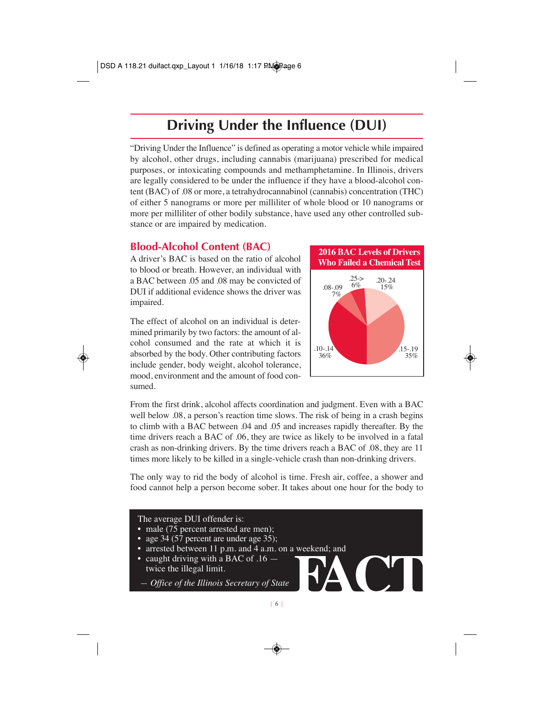### **Driving Under the Influence (DUI)**

"Driving Under the Influence" is defined as operating a motor vehicle while impaired by alcohol, other drugs, including cannabis (marijuana) prescribed for medical purposes, or intoxicating compounds and methamphetamine. In Illinois, drivers are legally considered to be under the influence if they have a blood-alcohol content (BAC) of .08 or more, a tetrahydrocannabinol (cannabis) concentration (THC) of either 5 nanograms or more per milliliter of whole blood or 10 nanograms or more per milliliter of other bodily substance, have used any other controlled substance or are impaired by medication.

### **Blood-Alcohol Content (BAC)**

A driver's BAC is based on the ratio of alcohol to blood or breath. However, an individual with a BAC between .05 and .08 may be convicted of DUI if additional evidence shows the driver was impaired.

The effect of alcohol on an individual is determined primarily by two factors: the amount of alcohol consumed and the rate at which it is absorbed by the body. Other contributing factors include gender, body weight, alcohol tolerance, mood, environment and the amount of food consumed.



From the first drink, alcohol affects coordination and judgment. Even with a BAC well below .08, a person's reaction time slows. The risk of being in a crash begins to climb with a BAC between .04 and .05 and increases rapidly thereafter. By the time drivers reach a BAC of .06, they are twice as likely to be involved in a fatal crash as non-drinking drivers. By the time drivers reach a BAC of .08, they are 11 times more likely to be killed in a single-vehicle crash than non-drinking drivers.

The only way to rid the body of alcohol is time. Fresh air, coffee, a shower and food cannot help a person become sober. It takes about one hour for the body to

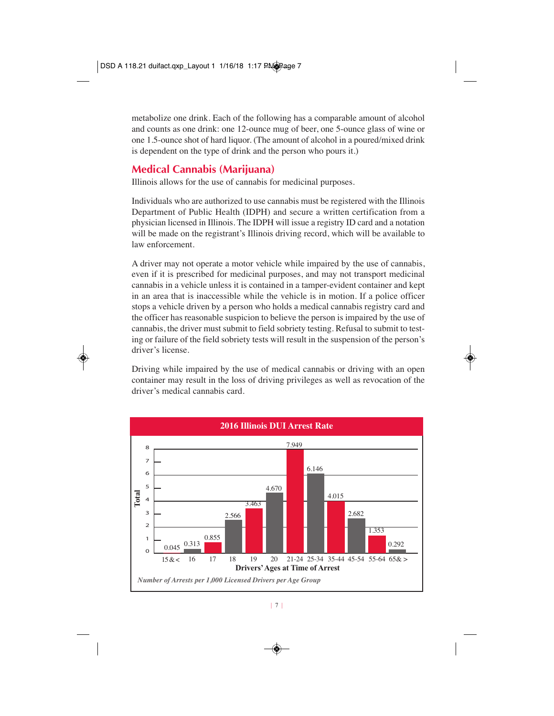metabolize one drink. Each of the following has a comparable amount of alcohol and counts as one drink: one 12-ounce mug of beer, one 5-ounce glass of wine or one 1.5-ounce shot of hard liquor. (The amount of alcohol in a poured/mixed drink is dependent on the type of drink and the person who pours it.)

### **Medical Cannabis (Marijuana)**

Illinois allows for the use of cannabis for medicinal purposes.

Individuals who are authorized to use cannabis must be registered with the Illinois Department of Public Health (IDPH) and secure a written certification from a physician licensed in Illinois. The IDPH will issue a registry ID card and a notation will be made on the registrant's Illinois driving record, which will be available to law enforcement.

A driver may not operate a motor vehicle while impaired by the use of cannabis, even if it is prescribed for medicinal purposes, and may not transport medicinal cannabis in a vehicle unless it is contained in a tamper-evident container and kept in an area that is inaccessible while the vehicle is in motion. If a police officer stops a vehicle driven by a person who holds a medical cannabis registry card and the officer has reasonable suspicion to believe the person is impaired by the use of cannabis, the driver must submit to field sobriety testing. Refusal to submit to testing or failure of the field sobriety tests will result in the suspension of the person's driver's license.

Driving while impaired by the use of medical cannabis or driving with an open container may result in the loss of driving privileges as well as revocation of the driver's medical cannabis card.

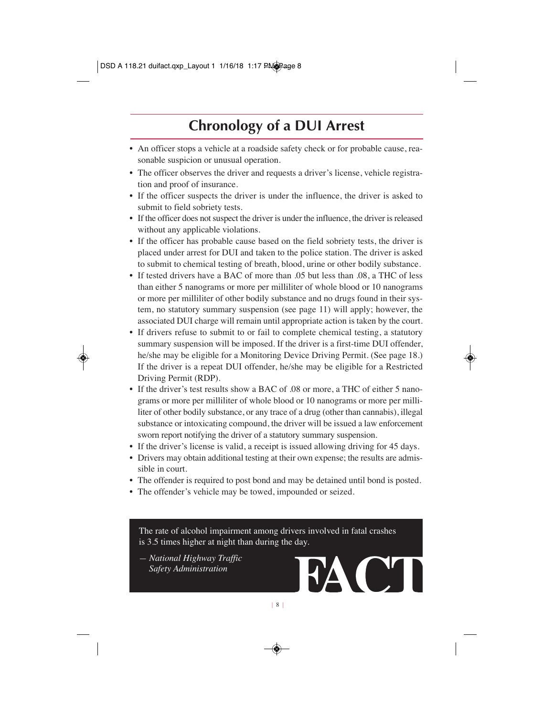### **Chronology of a DUI Arrest**

- An officer stops a vehicle at a roadside safety check or for probable cause, reasonable suspicion or unusual operation.
- The officer observes the driver and requests a driver's license, vehicle registration and proof of insurance.
- If the officer suspects the driver is under the influence, the driver is asked to submit to field sobriety tests.
- If the officer does not suspect the driver is under the influence, the driver is released without any applicable violations.
- If the officer has probable cause based on the field sobriety tests, the driver is placed under arrest for DUI and taken to the police station. The driver is asked to submit to chemical testing of breath, blood, urine or other bodily substance.
- If tested drivers have a BAC of more than .05 but less than .08, a THC of less than either 5 nanograms or more per milliliter of whole blood or 10 nanograms or more per milliliter of other bodily substance and no drugs found in their system, no statutory summary suspension (see page 11) will apply; however, the associated DUI charge will remain until appropriate action is taken by the court.
- If drivers refuse to submit to or fail to complete chemical testing, a statutory summary suspension will be imposed. If the driver is a first-time DUI offender, he/she may be eligible for a Monitoring Device Driving Permit. (See page 18.) If the driver is a repeat DUI offender, he/she may be eligible for a Restricted Driving Permit (RDP).
- If the driver's test results show a BAC of .08 or more, a THC of either 5 nanograms or more per milliliter of whole blood or 10 nanograms or more per milliliter of other bodily substance, or any trace of a drug (other than cannabis), illegal substance or intoxicating compound, the driver will be issued a law enforcement sworn report notifying the driver of a statutory summary suspension.
- If the driver's license is valid, a receipt is issued allowing driving for 45 days.
- Drivers may obtain additional testing at their own expense; the results are admis sible in court.
- The offender is required to post bond and may be detained until bond is posted.
- The offender's vehicle may be towed, impounded or seized.

The rate of alcohol impairment among drivers involved in fatal crashes is 3.5 times higher at night than during the day.

*— National Highway Traffic Safety Administration*

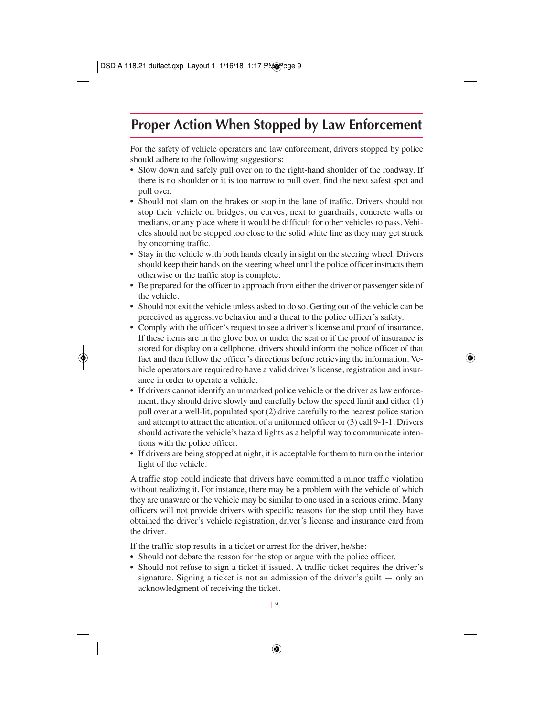### **Proper Action When Stopped by Law Enforcement**

For the safety of vehicle operators and law enforcement, drivers stopped by police should adhere to the following suggestions:

- Slow down and safely pull over on to the right-hand shoulder of the roadway. If there is no shoulder or it is too narrow to pull over, find the next safest spot and pull over.
- Should not slam on the brakes or stop in the lane of traffic. Drivers should not stop their vehicle on bridges, on curves, next to guardrails, concrete walls or medians, or any place where it would be difficult for other vehicles to pass. Vehicles should not be stopped too close to the solid white line as they may get struck by oncoming traffic.
- Stay in the vehicle with both hands clearly in sight on the steering wheel. Drivers should keep their hands on the steering wheel until the police officer instructs them otherwise or the traffic stop is complete.
- Be prepared for the officer to approach from either the driver or passenger side of the vehicle.
- Should not exit the vehicle unless asked to do so. Getting out of the vehicle can be perceived as aggressive behavior and a threat to the police officer's safety.
- Comply with the officer's request to see a driver's license and proof of insurance. If these items are in the glove box or under the seat or if the proof of insurance is stored for display on a cellphone, drivers should inform the police officer of that fact and then follow the officer's directions before retrieving the information. Vehicle operators are required to have a valid driver's license, registration and insurance in order to operate a vehicle.
- If drivers cannot identify an unmarked police vehicle or the driver as law enforcement, they should drive slowly and carefully below the speed limit and either (1) pull over at a well-lit, populated spot (2) drive carefully to the nearest police station and attempt to attract the attention of a uniformed officer or (3) call 9-1-1. Drivers should activate the vehicle's hazard lights as a helpful way to communicate intentions with the police officer.
- If drivers are being stopped at night, it is acceptable for them to turn on the interior light of the vehicle.

A traffic stop could indicate that drivers have committed a minor traffic violation without realizing it. For instance, there may be a problem with the vehicle of which they are unaware or the vehicle may be similar to one used in a serious crime. Many officers will not provide drivers with specific reasons for the stop until they have obtained the driver's vehicle registration, driver's license and insurance card from the driver.

If the traffic stop results in a ticket or arrest for the driver, he/she:

- Should not debate the reason for the stop or argue with the police officer.
- Should not refuse to sign a ticket if issued. A traffic ticket requires the driver's signature. Signing a ticket is not an admission of the driver's guilt — only an acknowledgment of receiving the ticket.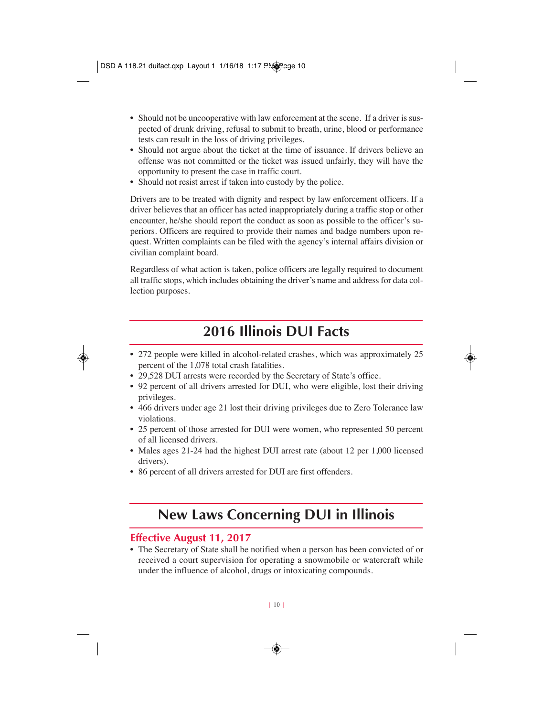- Should not be uncooperative with law enforcement at the scene. If a driver is suspected of drunk driving, refusal to submit to breath, urine, blood or performance tests can result in the loss of driving privileges.
- Should not argue about the ticket at the time of issuance. If drivers believe an offense was not committed or the ticket was issued unfairly, they will have the opportunity to present the case in traffic court.
- Should not resist arrest if taken into custody by the police.

Drivers are to be treated with dignity and respect by law enforcement officers. If a driver believes that an officer has acted inappropriately during a traffic stop or other encounter, he/she should report the conduct as soon as possible to the officer's superiors. Officers are required to provide their names and badge numbers upon request. Written complaints can be filed with the agency's internal affairs division or civilian complaint board.

Regardless of what action is taken, police officers are legally required to document all traffic stops, which includes obtaining the driver's name and address for data collection purposes.

### **2016 Illinois DUI Facts**

- 272 people were killed in alcohol-related crashes, which was approximately 25 percent of the 1,078 total crash fatalities.
- 29,528 DUI arrests were recorded by the Secretary of State's office.
- 92 percent of all drivers arrested for DUI, who were eligible, lost their driving privileges.
- 466 drivers under age 21 lost their driving privileges due to Zero Tolerance law violations.
- 25 percent of those arrested for DUI were women, who represented 50 percent of all licensed drivers.
- Males ages 21-24 had the highest DUI arrest rate (about 12 per 1,000 licensed drivers).
- 86 percent of all drivers arrested for DUI are first offenders.

### **New Laws Concerning DUI in Illinois**

#### **Effective August 11, 2017**

• The Secretary of State shall be notified when a person has been convicted of or received a court supervision for operating a snowmobile or watercraft while under the influence of alcohol, drugs or intoxicating compounds.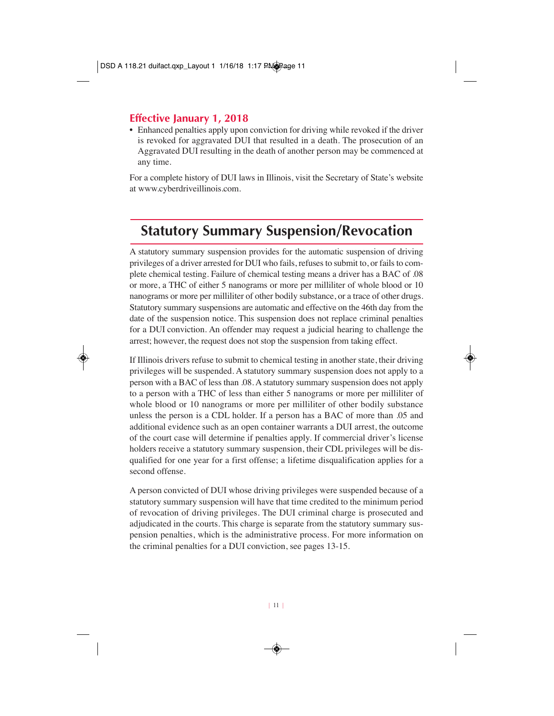### **Effective January 1, 2018**

• Enhanced penalties apply upon conviction for driving while revoked if the driver is revoked for aggravated DUI that resulted in a death. The prosecution of an Aggravated DUI resulting in the death of another person may be commenced at any time.

For a complete history of DUI laws in Illinois, visit the Secretary of State's website at www.cyberdriveillinois.com.

### **Statutory Summary Suspension/Revocation**

A statutory summary suspension provides for the automatic suspension of driving privileges of a driver arrested for DUI who fails, refuses to submit to, or fails to complete chemical testing. Failure of chemical testing means a driver has a BAC of .08 or more, a THC of either 5 nanograms or more per milliliter of whole blood or 10 nanograms or more per milliliter of other bodily substance, or a trace of other drugs. Statutory summary suspensions are automatic and effective on the 46th day from the date of the suspension notice. This suspension does not replace criminal penalties for a DUI conviction. An offender may request a judicial hearing to challenge the arrest; however, the request does not stop the suspension from taking effect.

If Illinois drivers refuse to submit to chemical testing in another state, their driving privileges will be suspended. A statutory summary suspension does not apply to a person with a BAC of less than .08. A statutory summary suspension does not apply to a person with a THC of less than either 5 nanograms or more per milliliter of whole blood or 10 nanograms or more per milliliter of other bodily substance unless the person is a CDL holder. If a person has a BAC of more than .05 and additional evidence such as an open container warrants a DUI arrest, the outcome of the court case will determine if penalties apply. If commercial driver's license holders receive a statutory summary suspension, their CDL privileges will be disqualified for one year for a first offense; a lifetime disqualification applies for a second offense.

A person convicted of DUI whose driving privileges were suspended because of a statutory summary suspension will have that time credited to the minimum period of revocation of driving privileges. The DUI criminal charge is prosecuted and adjudicated in the courts. This charge is separate from the statutory summary suspension penalties, which is the administrative process. For more information on the criminal penalties for a DUI conviction, see pages 13-15.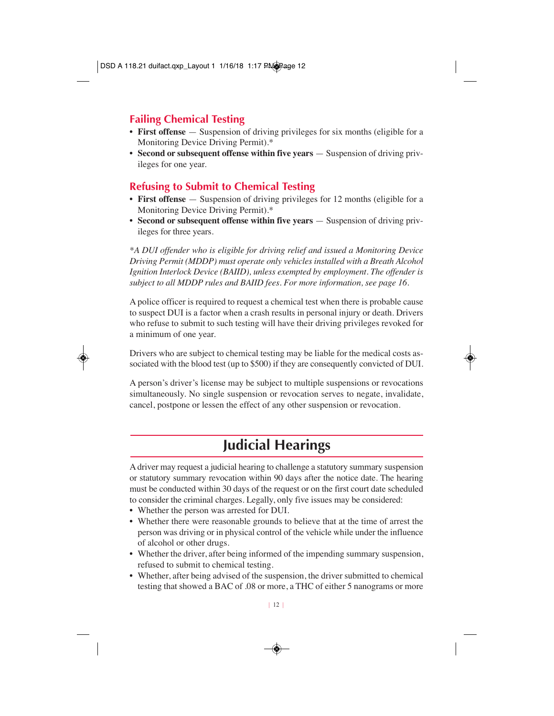### **Failing Chemical Testing**

- **First offense** Suspension of driving privileges for six months (eligible for a Monitoring Device Driving Permit).\*
- **Second or subsequent offense within five years** Suspension of driving privileges for one year.

### **Refusing to Submit to Chemical Testing**

- **First offense** Suspension of driving privileges for 12 months (eligible for a Monitoring Device Driving Permit).\*
- **Second or subsequent offense within five years** Suspension of driving privileges for three years.

*\*A DUI offender who is eligible for driving relief and issued a Monitoring Device Driving Permit (MDDP) must operate only vehicles installed with a Breath Alcohol Ignition Interlock Device (BAIID), unless exempted by employment. The offender is subject to all MDDP rules and BAIID fees. For more information, see page 16.*

A police officer is required to request a chemical test when there is probable cause to suspect DUI is a factor when a crash results in personal injury or death. Drivers who refuse to submit to such testing will have their driving privileges revoked for a minimum of one year.

Drivers who are subject to chemical testing may be liable for the medical costs associated with the blood test (up to \$500) if they are consequently convicted of DUI.

A person's driver's license may be subject to multiple suspensions or revocations simultaneously. No single suspension or revocation serves to negate, invalidate, cancel, postpone or lessen the effect of any other suspension or revocation.

### **Judicial Hearings**

A driver may request a judicial hearing to challenge a statutory summary suspension or statutory summary revocation within 90 days after the notice date. The hearing must be conducted within 30 days of the request or on the first court date scheduled to consider the criminal charges. Legally, only five issues may be considered:

- Whether the person was arrested for DUI.
- Whether there were reasonable grounds to believe that at the time of arrest the person was driving or in physical control of the vehicle while under the influence of alcohol or other drugs.
- Whether the driver, after being informed of the impending summary suspension, refused to submit to chemical testing.
- Whether, after being advised of the suspension, the driver submitted to chemical testing that showed a BAC of .08 or more, a THC of either 5 nanograms or more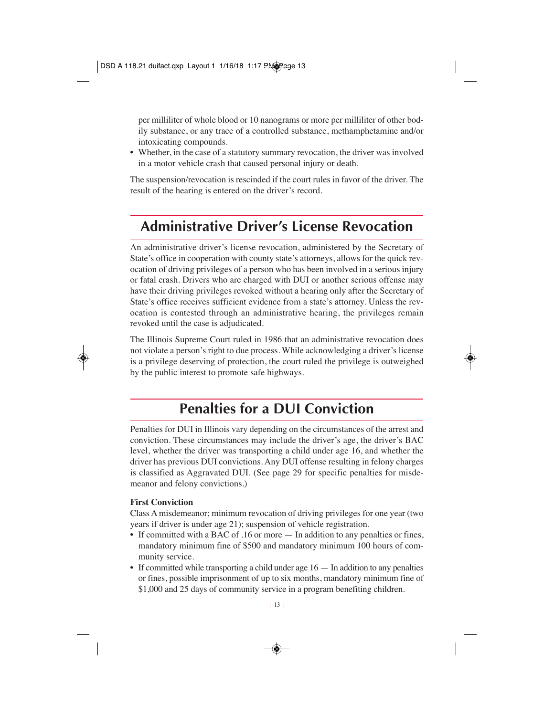per milliliter of whole blood or 10 nanograms or more per milliliter of other bodily substance, or any trace of a controlled substance, methamphetamine and/or intoxicating compounds.

• Whether, in the case of a statutory summary revocation, the driver was involved in a motor vehicle crash that caused personal injury or death.

The suspension/revocation is rescinded if the court rules in favor of the driver. The result of the hearing is entered on the driver's record.

### **Administrative Driver's License Revocation**

An administrative driver's license revocation, administered by the Secretary of State's office in cooperation with county state's attorneys, allows for the quick revocation of driving privileges of a person who has been involved in a serious injury or fatal crash. Drivers who are charged with DUI or another serious offense may have their driving privileges revoked without a hearing only after the Secretary of State's office receives sufficient evidence from a state's attorney. Unless the revocation is contested through an administrative hearing, the privileges remain revoked until the case is adjudicated.

The Illinois Supreme Court ruled in 1986 that an administrative revocation does not violate a person's right to due process. While acknowledging a driver's license is a privilege deserving of protection, the court ruled the privilege is outweighed by the public interest to promote safe highways.

### **Penalties for a DUI Conviction**

Penalties for DUI in Illinois vary depending on the circumstances of the arrest and conviction. These circumstances may include the driver's age, the driver's BAC level, whether the driver was transporting a child under age 16, and whether the driver has previous DUI convictions. Any DUI offense resulting in felony charges is classified as Aggravated DUI. (See page 29 for specific penalties for misdemeanor and felony convictions.)

#### **First Conviction**

Class A misdemeanor; minimum revocation of driving privileges for one year (two years if driver is under age 21); suspension of vehicle registration.

- If committed with a BAC of .16 or more  $-$  In addition to any penalties or fines, mandatory minimum fine of \$500 and mandatory minimum 100 hours of community service.
- If committed while transporting a child under age 16 In addition to any penalties or fines, possible imprisonment of up to six months, mandatory minimum fine of \$1,000 and 25 days of community service in a program benefiting children.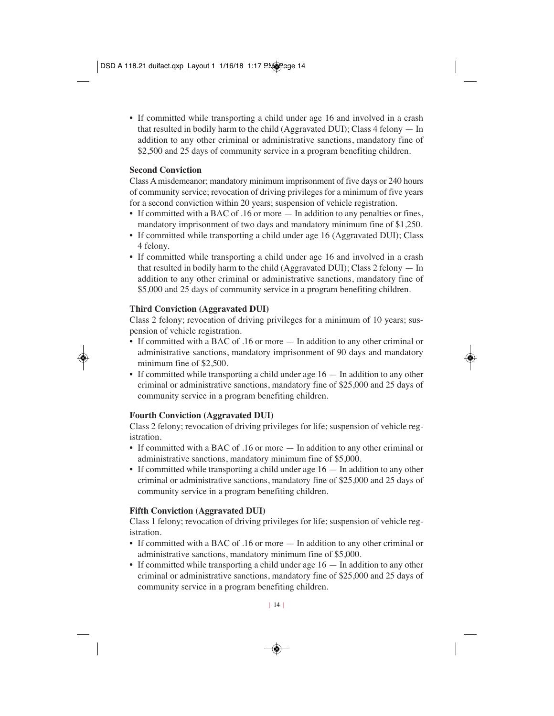• If committed while transporting a child under age 16 and involved in a crash that resulted in bodily harm to the child (Aggravated DUI); Class 4 felony — In addition to any other criminal or administrative sanctions, mandatory fine of \$2,500 and 25 days of community service in a program benefiting children.

#### **Second Conviction**

Class A misdemeanor; mandatory minimum imprisonment of five days or 240 hours of community service; revocation of driving privileges for a minimum of five years for a second conviction within 20 years; suspension of vehicle registration.

- If committed with a BAC of .16 or more In addition to any penalties or fines, mandatory imprisonment of two days and mandatory minimum fine of \$1,250.
- If committed while transporting a child under age 16 (Aggravated DUI); Class 4 felony.
- If committed while transporting a child under age 16 and involved in a crash that resulted in bodily harm to the child (Aggravated DUI); Class 2 felony — In addition to any other criminal or administrative sanctions, mandatory fine of \$5,000 and 25 days of community service in a program benefiting children.

#### **Third Conviction (Aggravated DUI)**

Class 2 felony; revocation of driving privileges for a minimum of 10 years; suspension of vehicle registration.

- If committed with a BAC of .16 or more In addition to any other criminal or administrative sanctions, mandatory imprisonment of 90 days and mandatory minimum fine of \$2,500.
- If committed while transporting a child under age  $16 -$  In addition to any other criminal or administrative sanctions, mandatory fine of \$25,000 and 25 days of community service in a program benefiting children.

#### **Fourth Conviction (Aggravated DUI)**

Class 2 felony; revocation of driving privileges for life; suspension of vehicle registration.

- If committed with a BAC of .16 or more In addition to any other criminal or administrative sanctions, mandatory minimum fine of \$5,000.
- If committed while transporting a child under age 16 In addition to any other criminal or administrative sanctions, mandatory fine of \$25,000 and 25 days of community service in a program benefiting children.

#### **Fifth Conviction (Aggravated DUI)**

Class 1 felony; revocation of driving privileges for life; suspension of vehicle registration.

- If committed with a BAC of .16 or more In addition to any other criminal or administrative sanctions, mandatory minimum fine of \$5,000.
- If committed while transporting a child under age 16 In addition to any other criminal or administrative sanctions, mandatory fine of \$25,000 and 25 days of community service in a program benefiting children.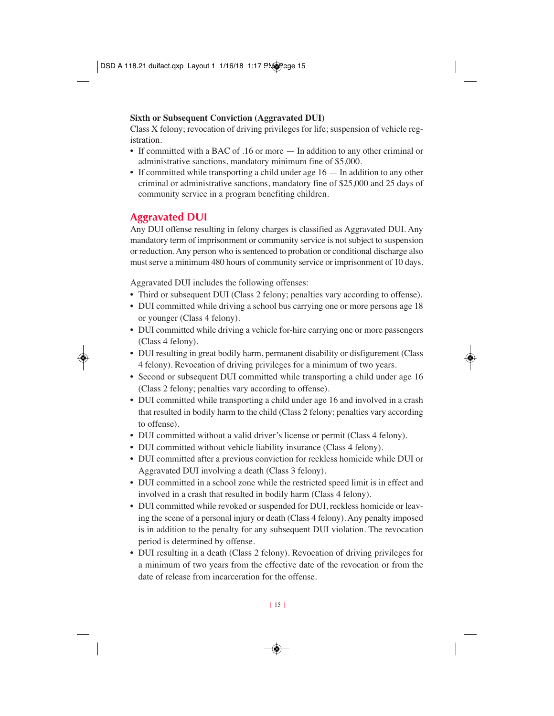#### **Sixth or Subsequent Conviction (Aggravated DUI)**

Class X felony; revocation of driving privileges for life; suspension of vehicle registration.

- If committed with a BAC of .16 or more In addition to any other criminal or administrative sanctions, mandatory minimum fine of \$5,000.
- If committed while transporting a child under age 16 In addition to any other criminal or administrative sanctions, mandatory fine of \$25,000 and 25 days of community service in a program benefiting children.

### **Aggravated DUI**

Any DUI offense resulting in felony charges is classified as Aggravated DUI. Any mandatory term of imprisonment or community service is not subject to suspension or reduction. Any person who is sentenced to probation or conditional discharge also must serve a minimum 480 hours of community service or imprisonment of 10 days.

Aggravated DUI includes the following offenses:

- Third or subsequent DUI (Class 2 felony; penalties vary according to offense).
- DUI committed while driving a school bus carrying one or more persons age 18 or younger (Class 4 felony).
- DUI committed while driving a vehicle for-hire carrying one or more passengers (Class 4 felony).
- DUI resulting in great bodily harm, permanent disability or disfigurement (Class 4 felony). Revocation of driving privileges for a minimum of two years.
- Second or subsequent DUI committed while transporting a child under age 16 (Class 2 felony; penalties vary according to offense).
- DUI committed while transporting a child under age 16 and involved in a crash that resulted in bodily harm to the child (Class 2 felony; penalties vary according to offense).
- DUI committed without a valid driver's license or permit (Class 4 felony).
- DUI committed without vehicle liability insurance (Class 4 felony).
- DUI committed after a previous conviction for reckless homicide while DUI or Aggravated DUI involving a death (Class 3 felony).
- DUI committed in a school zone while the restricted speed limit is in effect and involved in a crash that resulted in bodily harm (Class 4 felony).
- DUI committed while revoked or suspended for DUI, reckless homicide or leaving the scene of a personal injury or death (Class 4 felony). Any penalty imposed is in addition to the penalty for any subsequent DUI violation. The revocation period is determined by offense.
- DUI resulting in a death (Class 2 felony). Revocation of driving privileges for a minimum of two years from the effective date of the revocation or from the date of release from incarceration for the offense.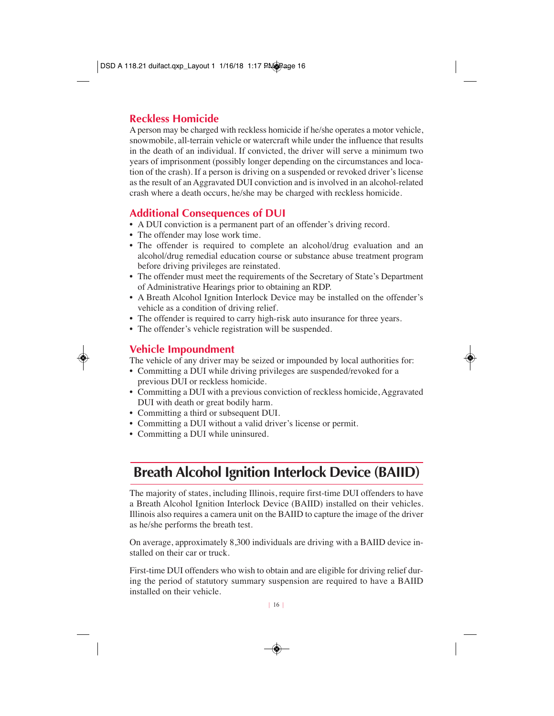#### **Reckless Homicide**

A person may be charged with reckless homicide if he/she operates a motor vehicle, snowmobile, all-terrain vehicle or watercraft while under the influence that results in the death of an individual. If convicted, the driver will serve a minimum two years of imprisonment (possibly longer depending on the circumstances and location of the crash). If a person is driving on a suspended or revoked driver's license as the result of an Aggravated DUI conviction and is involved in an alcohol-related crash where a death occurs, he/she may be charged with reckless homicide.

#### **Additional Consequences of DUI**

- A DUI conviction is a permanent part of an offender's driving record.
- The offender may lose work time.
- The offender is required to complete an alcohol/drug evaluation and an alcohol/drug remedial education course or substance abuse treatment program before driving privileges are reinstated.
- The offender must meet the requirements of the Secretary of State's Department of Administrative Hearings prior to obtaining an RDP.
- A Breath Alcohol Ignition Interlock Device may be installed on the offender's vehicle as a condition of driving relief.
- The offender is required to carry high-risk auto insurance for three years.
- The offender's vehicle registration will be suspended.

#### **Vehicle Impoundment**

The vehicle of any driver may be seized or impounded by local authorities for:

- Committing a DUI while driving privileges are suspended/revoked for a previous DUI or reckless homicide.
- Committing a DUI with a previous conviction of reckless homicide, Aggravated DUI with death or great bodily harm.
- Committing a third or subsequent DUI.
- Committing a DUI without a valid driver's license or permit.
- Committing a DUI while uninsured.

### **Breath Alcohol Ignition Interlock Device (BAIID)**

The majority of states, including Illinois, require first-time DUI offenders to have a Breath Alcohol Ignition Interlock Device (BAIID) installed on their vehicles. Illinois also requires a camera unit on the BAIID to capture the image of the driver as he/she performs the breath test.

On average, approximately 8,300 individuals are driving with a BAIID device installed on their car or truck.

First-time DUI offenders who wish to obtain and are eligible for driving relief during the period of statutory summary suspension are required to have a BAIID installed on their vehicle.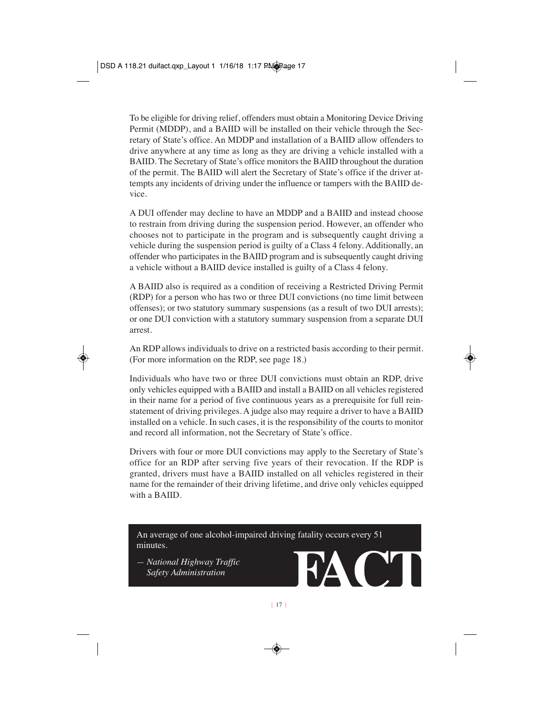To be eligible for driving relief, offenders must obtain a Monitoring Device Driving Permit (MDDP), and a BAIID will be installed on their vehicle through the Secretary of State's office. An MDDP and installation of a BAIID allow offenders to drive anywhere at any time as long as they are driving a vehicle installed with a BAIID. The Secretary of State's office monitors the BAIID throughout the duration of the permit. The BAIID will alert the Secretary of State's office if the driver attempts any incidents of driving under the influence or tampers with the BAIID device.

A DUI offender may decline to have an MDDP and a BAIID and instead choose to restrain from driving during the suspension period. However, an offender who chooses not to participate in the program and is subsequently caught driving a vehicle during the suspension period is guilty of a Class 4 felony. Additionally, an offender who participates in the BAIID program and is subsequently caught driving a vehicle without a BAIID device installed is guilty of a Class 4 felony.

A BAIID also is required as a condition of receiving a Restricted Driving Permit (RDP) for a person who has two or three DUI convictions (no time limit between offenses); or two statutory summary suspensions (as a result of two DUI arrests); or one DUI conviction with a statutory summary suspension from a separate DUI arrest.

An RDP allows individuals to drive on a restricted basis according to their permit. (For more information on the RDP, see page 18.)

Individuals who have two or three DUI convictions must obtain an RDP, drive only vehicles equipped with a BAIID and install a BAIID on all vehicles registered in their name for a period of five continuous years as a prerequisite for full reinstatement of driving privileges. A judge also may require a driver to have a BAIID installed on a vehicle. In such cases, it is the responsibility of the courts to monitor and record all information, not the Secretary of State's office.

Drivers with four or more DUI convictions may apply to the Secretary of State's office for an RDP after serving five years of their revocation. If the RDP is granted, drivers must have a BAIID installed on all vehicles registered in their name for the remainder of their driving lifetime, and drive only vehicles equipped with a BAIID.

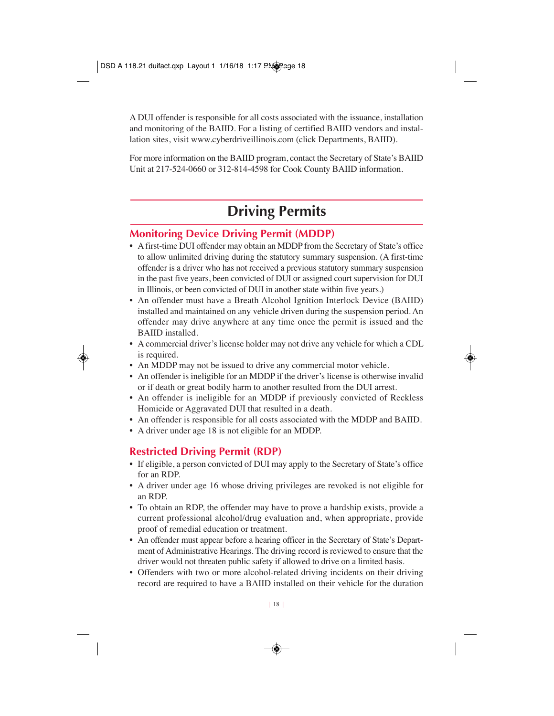A DUI offender is responsible for all costs associated with the issuance, installation and monitoring of the BAIID. For a listing of certified BAIID vendors and installation sites, visit www.cyberdriveillinois.com (click Departments, BAIID).

For more information on the BAIID program, contact the Secretary of State's BAIID Unit at 217-524-0660 or 312-814-4598 for Cook County BAIID information.

### **Driving Permits**

### **Monitoring Device Driving Permit (MDDP)**

- A first-time DUI offender may obtain an MDDP from the Secretary of State's office to allow unlimited driving during the statutory summary suspension. (A first-time offender is a driver who has not received a previous statutory summary suspension in the past five years, been convicted of DUI or assigned court supervision for DUI in Illinois, or been convicted of DUI in another state within five years.)
- An offender must have a Breath Alcohol Ignition Interlock Device (BAIID) installed and maintained on any vehicle driven during the suspension period. An offender may drive anywhere at any time once the permit is issued and the BAIID installed.
- A commercial driver's license holder may not drive any vehicle for which a CDL is required.
- An MDDP may not be issued to drive any commercial motor vehicle.
- An offender is ineligible for an MDDP if the driver's license is otherwise invalid or if death or great bodily harm to another resulted from the DUI arrest.
- An offender is ineligible for an MDDP if previously convicted of Reckless Homicide or Aggravated DUI that resulted in a death.
- An offender is responsible for all costs associated with the MDDP and BAIID.
- A driver under age 18 is not eligible for an MDDP.

### **Restricted Driving Permit (RDP)**

- If eligible, a person convicted of DUI may apply to the Secretary of State's office for an RDP.
- A driver under age 16 whose driving privileges are revoked is not eligible for an RDP.
- To obtain an RDP, the offender may have to prove a hardship exists, provide a current professional alcohol/drug evaluation and, when appropriate, provide proof of remedial education or treatment.
- An offender must appear before a hearing officer in the Secretary of State's Department of Administrative Hearings. The driving record is reviewed to ensure that the driver would not threaten public safety if allowed to drive on a limited basis.
- Offenders with two or more alcohol-related driving incidents on their driving record are required to have a BAIID installed on their vehicle for the duration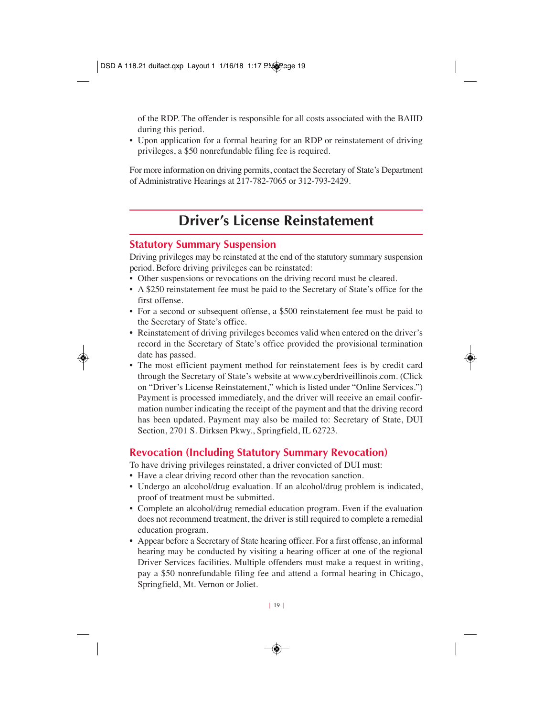of the RDP. The offender is responsible for all costs associated with the BAIID during this period.

• Upon application for a formal hearing for an RDP or reinstatement of driving privileges, a \$50 nonrefundable filing fee is required.

For more information on driving permits, contact the Secretary of State's Department of Administrative Hearings at 217-782-7065 or 312-793-2429.

### **Driver's License Reinstatement**

### **Statutory Summary Suspension**

Driving privileges may be reinstated at the end of the statutory summary suspension period. Before driving privileges can be reinstated:

- Other suspensions or revocations on the driving record must be cleared.
- A \$250 reinstatement fee must be paid to the Secretary of State's office for the first offense.
- For a second or subsequent offense, a \$500 reinstatement fee must be paid to the Secretary of State's office.
- Reinstatement of driving privileges becomes valid when entered on the driver's record in the Secretary of State's office provided the provisional termination date has passed.
- The most efficient payment method for reinstatement fees is by credit card through the Secretary of State's website at www.cyberdriveillinois.com. (Click on "Driver's License Reinstatement," which is listed under "Online Services.") Payment is processed immediately, and the driver will receive an email confirmation number indicating the receipt of the payment and that the driving record has been updated. Payment may also be mailed to: Secretary of State, DUI Section, 2701 S. Dirksen Pkwy., Springfield, IL 62723.

### **Revocation (Including Statutory Summary Revocation)**

To have driving privileges reinstated, a driver convicted of DUI must:

- Have a clear driving record other than the revocation sanction.
- Undergo an alcohol/drug evaluation. If an alcohol/drug problem is indicated, proof of treatment must be submitted.
- Complete an alcohol/drug remedial education program. Even if the evaluation does not recommend treatment, the driver is still required to complete a remedial education program.
- Appear before a Secretary of State hearing officer. For a first offense, an informal hearing may be conducted by visiting a hearing officer at one of the regional Driver Services facilities. Multiple offenders must make a request in writing, pay a \$50 nonrefundable filing fee and attend a formal hearing in Chicago, Springfield, Mt. Vernon or Joliet.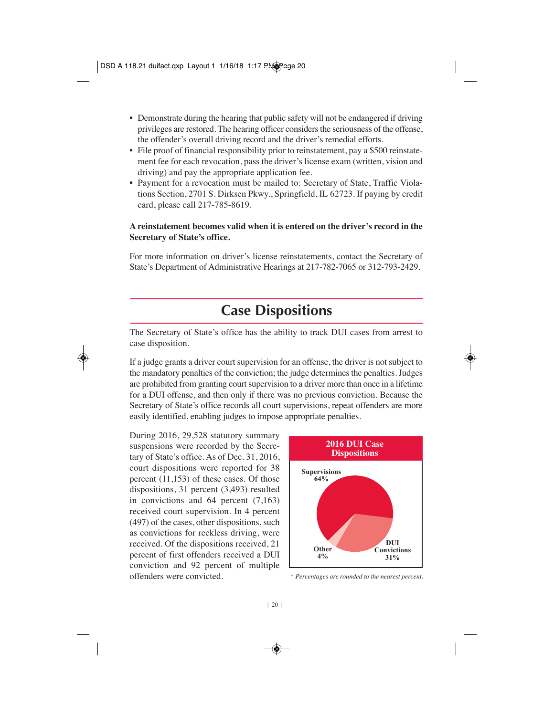- Demonstrate during the hearing that public safety will not be endangered if driving privileges are restored. The hearing officer considers the seriousness of the offense, the offender's overall driving record and the driver's remedial efforts.
- File proof of financial responsibility prior to reinstatement, pay a \$500 reinstatement fee for each revocation, pass the driver's license exam (written, vision and driving) and pay the appropriate application fee.
- Payment for a revocation must be mailed to: Secretary of State, Traffic Violations Section, 2701 S. Dirksen Pkwy., Springfield, IL 62723. If paying by credit card, please call 217-785-8619.

#### **A reinstatement becomes valid when it is entered on the driver's record in the Secretary of State's office.**

For more information on driver's license reinstatements, contact the Secretary of State's Department of Administrative Hearings at 217-782-7065 or 312-793-2429.

### **Case Dispositions**

The Secretary of State's office has the ability to track DUI cases from arrest to case disposition.

If a judge grants a driver court supervision for an offense, the driver is not subject to the mandatory penalties of the conviction; the judge determines the penalties. Judges are prohibited from granting court supervision to a driver more than once in a lifetime for a DUI offense, and then only if there was no previous conviction. Because the Secretary of State's office records all court supervisions, repeat offenders are more easily identified, enabling judges to impose appropriate penalties.

During 2016, 29,528 statutory summary suspensions were recorded by the Secretary of State's office. As of Dec. 31, 2016, court dispositions were reported for 38 percent (11,153) of these cases. Of those dispositions, 31 percent (3,493) resulted in convictions and 64 percent (7,163) received court supervision. In 4 percent (497) of the cases, other dispositions, such as convictions for reckless driving, were received. Of the dispositions received, 21 percent of first offenders received a DUI conviction and 92 percent of multiple offenders were convicted.



*\* Percentages are rounded to the nearest percent.*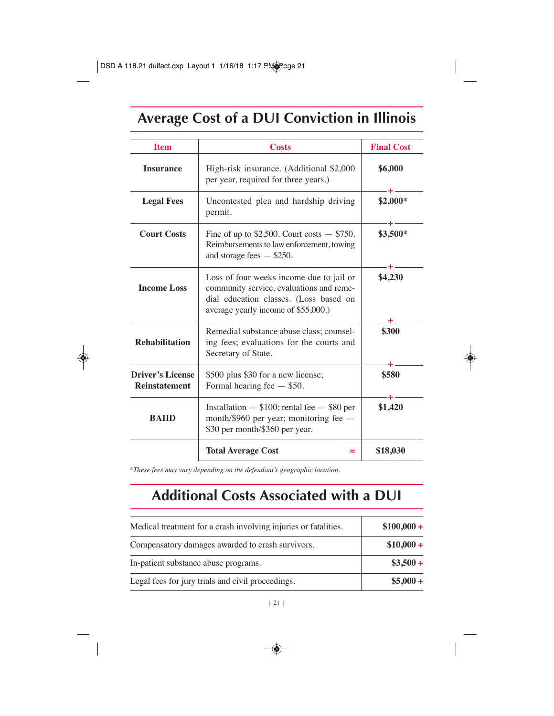# **Average Cost of a DUI Conviction in Illinois**

| <b>Item</b>                                                                                                                                   | <b>Costs</b>                                                                                                                                                          | <b>Final Cost</b> |
|-----------------------------------------------------------------------------------------------------------------------------------------------|-----------------------------------------------------------------------------------------------------------------------------------------------------------------------|-------------------|
| <b>Insurance</b>                                                                                                                              | High-risk insurance. (Additional \$2,000)<br>per year, required for three years.)                                                                                     | \$6,000           |
| <b>Legal Fees</b>                                                                                                                             | Uncontested plea and hardship driving<br>permit.                                                                                                                      | $$2,000*$         |
| <b>Court Costs</b>                                                                                                                            | Fine of up to $$2,500$ . Court costs $-$ \$750.<br>Reimbursements to law enforcement, towing<br>and storage fees $-$ \$250.                                           | \$3,500*          |
| <b>Income Loss</b>                                                                                                                            | Loss of four weeks income due to jail or<br>community service, evaluations and reme-<br>dial education classes. (Loss based on<br>average yearly income of \$55,000.) | \$4,230           |
| Remedial substance abuse class; counsel-<br><b>Rehabilitation</b><br>ing fees; evaluations for the courts and<br>Secretary of State.          |                                                                                                                                                                       | \$300             |
| <b>Driver's License</b><br><b>Reinstatement</b>                                                                                               | \$500 plus \$30 for a new license;<br>Formal hearing fee $-$ \$50.                                                                                                    |                   |
| Installation $-$ \$100; rental fee $-$ \$80 per<br>month/\$960 per year; monitoring fee $-$<br><b>BAIID</b><br>\$30 per month/\$360 per year. |                                                                                                                                                                       | \$1,420           |
|                                                                                                                                               | <b>Total Average Cost</b>                                                                                                                                             | \$18,030          |

\**These fees may vary depending on the defendant's geographic location.*

### **Additional Costs Associated with a DUI**

| Medical treatment for a crash involving injuries or fatalities. | $$100,000 +$ |
|-----------------------------------------------------------------|--------------|
| Compensatory damages awarded to crash survivors.                | $$10,000 +$  |
| In-patient substance abuse programs.                            | $$3,500 +$   |
| Legal fees for jury trials and civil proceedings.               | $$5,000 +$   |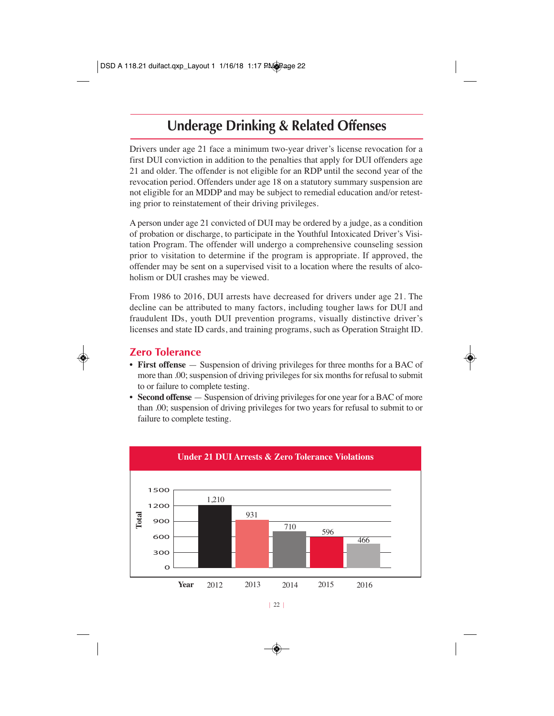### **Underage Drinking & Related Offenses**

Drivers under age 21 face a minimum two-year driver's license revocation for a first DUI conviction in addition to the penalties that apply for DUI offenders age 21 and older. The offender is not eligible for an RDP until the second year of the revocation period. Offenders under age 18 on a statutory summary suspension are not eligible for an MDDP and may be subject to remedial education and/or retesting prior to reinstatement of their driving privileges.

A person under age 21 convicted of DUI may be ordered by a judge, as a condition of probation or discharge, to participate in the Youthful Intoxicated Driver's Visitation Program. The offender will undergo a comprehensive counseling session prior to visitation to determine if the program is appropriate. If approved, the offender may be sent on a supervised visit to a location where the results of alcoholism or DUI crashes may be viewed.

From 1986 to 2016, DUI arrests have decreased for drivers under age 21. The decline can be attributed to many factors, including tougher laws for DUI and fraudulent IDs, youth DUI prevention programs, visually distinctive driver's licenses and state ID cards, and training programs, such as Operation Straight ID.

#### **Zero Tolerance**

- **First offense** Suspension of driving privileges for three months for a BAC of more than .00; suspension of driving privileges for six months for refusal to submit to or failure to complete testing.
- **Second offense** Suspension of driving privileges for one year for a BAC of more than .00; suspension of driving privileges for two years for refusal to submit to or failure to complete testing.

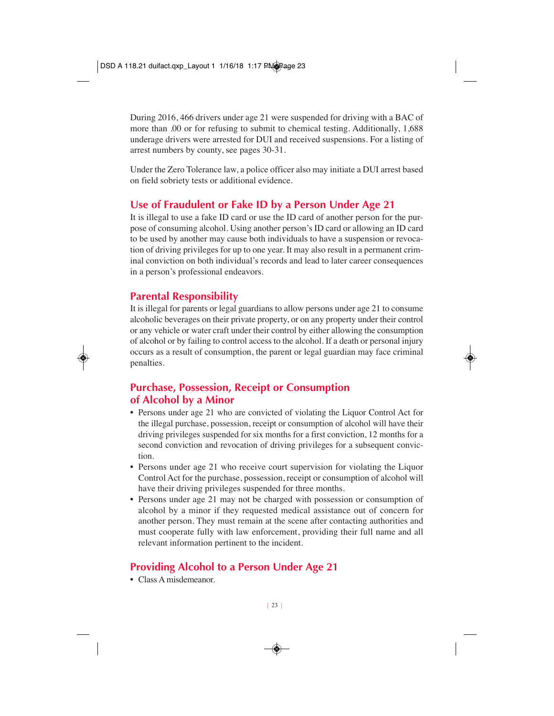During 2016, 466 drivers under age 21 were suspended for driving with a BAC of more than .00 or for refusing to submit to chemical testing. Additionally, 1,688 underage drivers were arrested for DUI and received suspensions. For a listing of arrest numbers by county, see pages 30-31.

Under the Zero Tolerance law, a police officer also may initiate a DUI arrest based on field sobriety tests or additional evidence.

### **Use of Fraudulent or Fake ID by a Person Under Age 21**

It is illegal to use a fake ID card or use the ID card of another person for the purpose of consuming alcohol. Using another person's ID card or allowing an ID card to be used by another may cause both individuals to have a suspension or revocation of driving privileges for up to one year. It may also result in a permanent criminal conviction on both individual's records and lead to later career consequences in a person's professional endeavors.

#### **Parental Responsibility**

It is illegal for parents or legal guardians to allow persons under age 21 to consume alcoholic beverages on their private property, or on any property under their control or any vehicle or water craft under their control by either allowing the consumption of alcohol or by failing to control access to the alcohol. If a death or personal injury occurs as a result of consumption, the parent or legal guardian may face criminal penalties.

### **Purchase, Possession, Receipt or Consumption of Alcohol by a Minor**

- Persons under age 21 who are convicted of violating the Liquor Control Act for the illegal purchase, possession, receipt or consumption of alcohol will have their driving privileges suspended for six months for a first conviction, 12 months for a second conviction and revocation of driving privileges for a subsequent conviction.
- Persons under age 21 who receive court supervision for violating the Liquor Control Act for the purchase, possession, receipt or consumption of alcohol will have their driving privileges suspended for three months.
- Persons under age 21 may not be charged with possession or consumption of alcohol by a minor if they requested medical assistance out of concern for another person. They must remain at the scene after contacting authorities and must cooperate fully with law enforcement, providing their full name and all relevant information pertinent to the incident.

### **Providing Alcohol to a Person Under Age 21**

• Class A misdemeanor.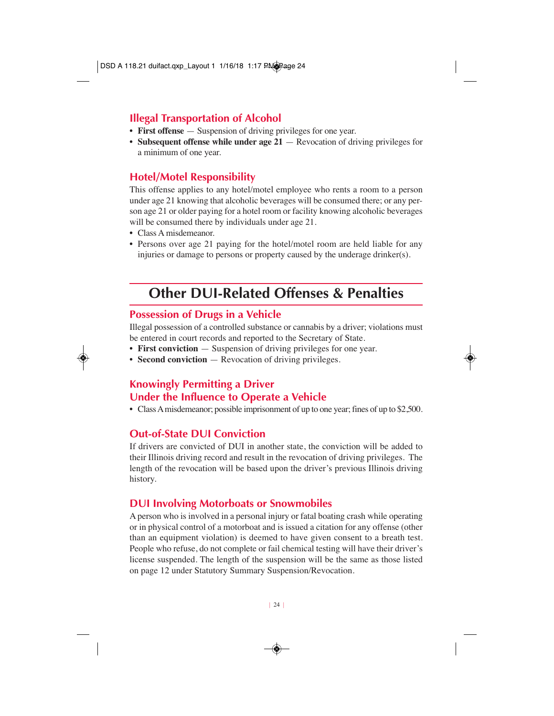### **Illegal Transportation of Alcohol**

- **First offense** Suspension of driving privileges for one year.
- **Subsequent offense while under age 21** Revocation of driving privileges for a minimum of one year.

### **Hotel/Motel Responsibility**

This offense applies to any hotel/motel employee who rents a room to a person under age 21 knowing that alcoholic beverages will be consumed there; or any person age 21 or older paying for a hotel room or facility knowing alcoholic beverages will be consumed there by individuals under age 21.

- Class A misdemeanor.
- Persons over age 21 paying for the hotel/motel room are held liable for any injuries or damage to persons or property caused by the underage drinker(s).

### **Other DUI-Related Offenses & Penalties**

### **Possession of Drugs in a Vehicle**

Illegal possession of a controlled substance or cannabis by a driver; violations must be entered in court records and reported to the Secretary of State.

- **First conviction** Suspension of driving privileges for one year.
- **Second conviction** Revocation of driving privileges.

### **Knowingly Permitting a Driver Under the Influence to Operate a Vehicle**

• Class A misdemeanor; possible imprisonment of up to one year; fines of up to \$2,500.

### **Out-of-State DUI Conviction**

If drivers are convicted of DUI in another state, the conviction will be added to their Illinois driving record and result in the revocation of driving privileges. The length of the revocation will be based upon the driver's previous Illinois driving history.

#### **DUI Involving Motorboats or Snowmobiles**

A person who is involved in a personal injury or fatal boating crash while operating or in physical control of a motorboat and is issued a citation for any offense (other than an equipment violation) is deemed to have given consent to a breath test. People who refuse, do not complete or fail chemical testing will have their driver's license suspended. The length of the suspension will be the same as those listed on page 12 under Statutory Summary Suspension/Revocation.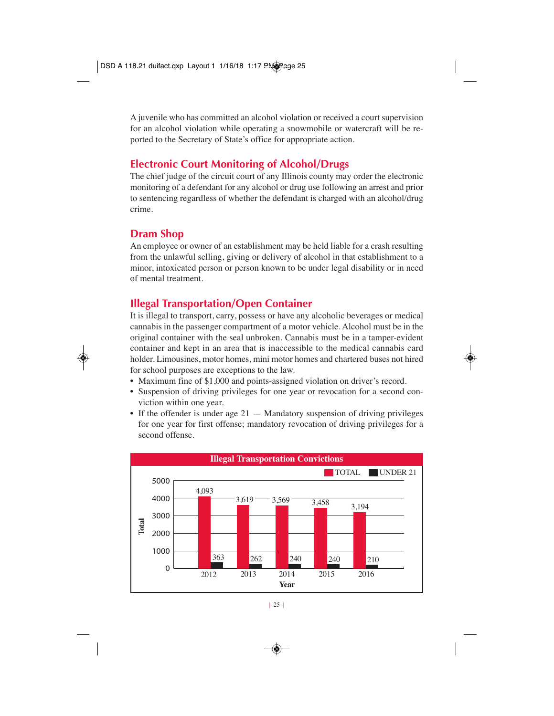A juvenile who has committed an alcohol violation or received a court supervision for an alcohol violation while operating a snowmobile or watercraft will be reported to the Secretary of State's office for appropriate action.

### **Electronic Court Monitoring of Alcohol/Drugs**

The chief judge of the circuit court of any Illinois county may order the electronic monitoring of a defendant for any alcohol or drug use following an arrest and prior to sentencing regardless of whether the defendant is charged with an alcohol/drug crime.

#### **Dram Shop**

An employee or owner of an establishment may be held liable for a crash resulting from the unlawful selling, giving or delivery of alcohol in that establishment to a minor, intoxicated person or person known to be under legal disability or in need of mental treatment.

### **Illegal Transportation/Open Container**

It is illegal to transport, carry, possess or have any alcoholic beverages or medical cannabis in the passenger compartment of a motor vehicle. Alcohol must be in the original container with the seal unbroken. Cannabis must be in a tamper-evident container and kept in an area that is inaccessible to the medical cannabis card holder. Limousines, motor homes, mini motor homes and chartered buses not hired for school purposes are exceptions to the law.

- Maximum fine of \$1,000 and points-assigned violation on driver's record.
- Suspension of driving privileges for one year or revocation for a second conviction within one year.
- If the offender is under age  $21 -$  Mandatory suspension of driving privileges for one year for first offense; mandatory revocation of driving privileges for a second offense.

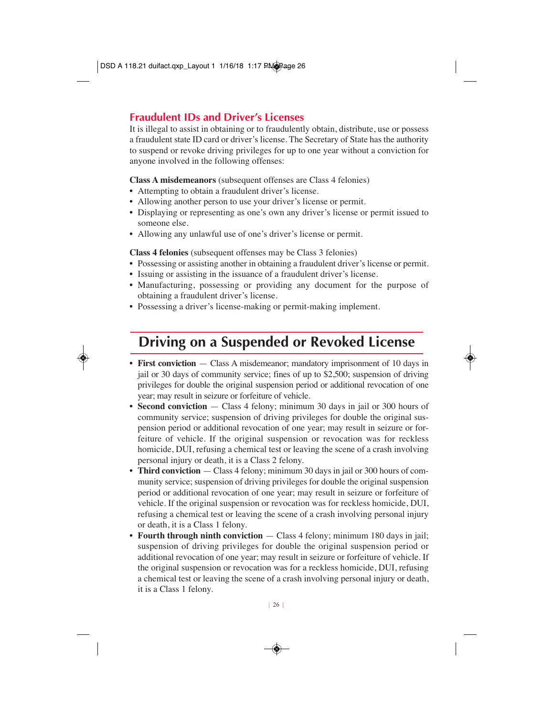#### **Fraudulent IDs and Driver's Licenses**

It is illegal to assist in obtaining or to fraudulently obtain, distribute, use or possess a fraudulent state ID card or driver's license. The Secretary of State has the authority to suspend or revoke driving privileges for up to one year without a conviction for anyone involved in the following offenses:

**Class A misdemeanors** (subsequent offenses are Class 4 felonies)

- Attempting to obtain a fraudulent driver's license.
- Allowing another person to use your driver's license or permit.
- Displaying or representing as one's own any driver's license or permit issued to someone else.
- Allowing any unlawful use of one's driver's license or permit.

**Class 4 felonies** (subsequent offenses may be Class 3 felonies)

- Possessing or assisting another in obtaining a fraudulent driver's license or permit.
- Issuing or assisting in the issuance of a fraudulent driver's license.
- Manufacturing, possessing or providing any document for the purpose of obtaining a fraudulent driver's license.
- Possessing a driver's license-making or permit-making implement.

### **Driving on a Suspended or Revoked License**

- **First conviction** Class A misdemeanor; mandatory imprisonment of 10 days in jail or 30 days of community service; fines of up to \$2,500; suspension of driving privileges for double the original suspension period or additional revocation of one year; may result in seizure or forfeiture of vehicle.
- **Second conviction** Class 4 felony; minimum 30 days in jail or 300 hours of community service; suspension of driving privileges for double the original suspension period or additional revocation of one year; may result in seizure or forfeiture of vehicle. If the original suspension or revocation was for reckless homicide, DUI, refusing a chemical test or leaving the scene of a crash involving personal injury or death, it is a Class 2 felony.
- **Third conviction** Class 4 felony; minimum 30 days in jail or 300 hours of community service; suspension of driving privileges for double the original suspension period or additional revocation of one year; may result in seizure or forfeiture of vehicle. If the original suspension or revocation was for reckless homicide, DUI, refusing a chemical test or leaving the scene of a crash involving personal injury or death, it is a Class 1 felony.
- **Fourth through ninth conviction** Class 4 felony; minimum 180 days in jail; suspension of driving privileges for double the original suspension period or additional revocation of one year; may result in seizure or forfeiture of vehicle. If the original suspension or revocation was for a reckless homicide, DUI, refusing a chemical test or leaving the scene of a crash involving personal injury or death, it is a Class 1 felony.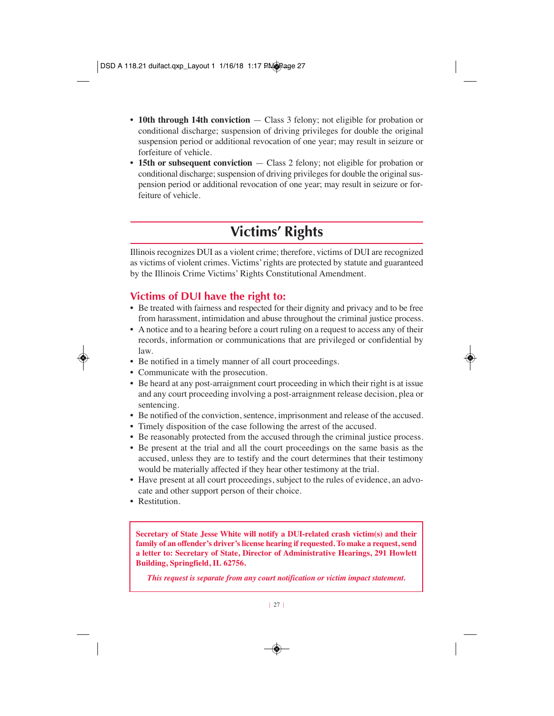- **10th through 14th conviction** Class 3 felony; not eligible for probation or conditional discharge; suspension of driving privileges for double the original suspension period or additional revocation of one year; may result in seizure or forfeiture of vehicle.
- **15th or subsequent conviction** Class 2 felony; not eligible for probation or conditional discharge; suspension of driving privileges for double the original suspension period or additional revocation of one year; may result in seizure or forfeiture of vehicle.

### **Victims' Rights**

Illinois recognizes DUI as a violent crime; therefore, victims of DUI are recognized as victims of violent crimes. Victims' rights are protected by statute and guaranteed by the Illinois Crime Victims' Rights Constitutional Amendment.

### **Victims of DUI have the right to:**

- Be treated with fairness and respected for their dignity and privacy and to be free from harassment, intimidation and abuse throughout the criminal justice process.
- A notice and to a hearing before a court ruling on a request to access any of their records, information or communications that are privileged or confidential by law.
- Be notified in a timely manner of all court proceedings.
- Communicate with the prosecution.
- Be heard at any post-arraignment court proceeding in which their right is at issue and any court proceeding involving a post-arraignment release decision, plea or sentencing.
- Be notified of the conviction, sentence, imprisonment and release of the accused.
- Timely disposition of the case following the arrest of the accused.
- Be reasonably protected from the accused through the criminal justice process.
- Be present at the trial and all the court proceedings on the same basis as the accused, unless they are to testify and the court determines that their testimony would be materially affected if they hear other testimony at the trial.
- Have present at all court proceedings, subject to the rules of evidence, an advocate and other support person of their choice.
- Restitution.

**Secretary of State Jesse White will notify a DUI-related crash victim(s) and their family of an offender's driver's license hearing if requested. To make a request, send a letter to: Secretary of State, Director of Administrative Hearings, 291 Howlett Building, Springfield, IL 62756.**

*This request is separate from any court notification or victim impact statement.*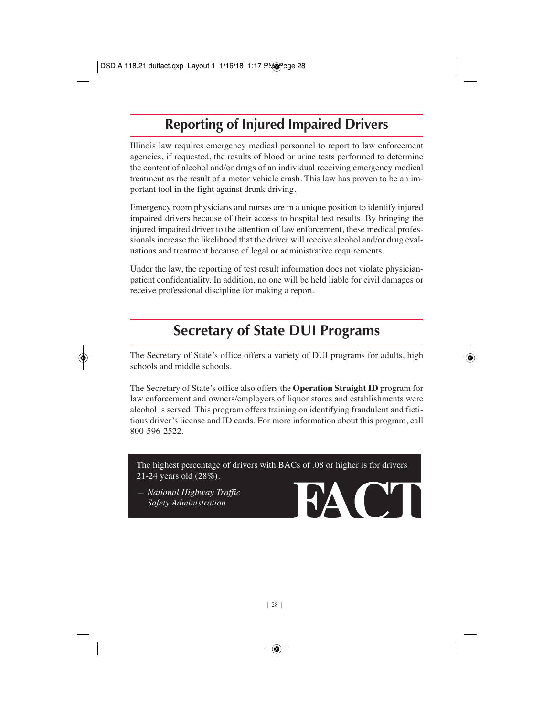### **Reporting of Injured Impaired Drivers**

Illinois law requires emergency medical personnel to report to law enforcement agencies, if requested, the results of blood or urine tests performed to determine the content of alcohol and/or drugs of an individual receiving emergency medical treatment as the result of a motor vehicle crash. This law has proven to be an important tool in the fight against drunk driving.

Emergency room physicians and nurses are in a unique position to identify injured impaired drivers because of their access to hospital test results. By bringing the injured impaired driver to the attention of law enforcement, these medical professionals increase the likelihood that the driver will receive alcohol and/or drug evaluations and treatment because of legal or administrative requirements.

Under the law, the reporting of test result information does not violate physicianpatient confidentiality. In addition, no one will be held liable for civil damages or receive professional discipline for making a report.

### **Secretary of State DUI Programs**

The Secretary of State's office offers a variety of DUI programs for adults, high schools and middle schools.

The Secretary of State's office also offers the **Operation Straight ID** program for law enforcement and owners/employers of liquor stores and establishments were alcohol is served. This program offers training on identifying fraudulent and fictitious driver's license and ID cards. For more information about this program, call 800-596-2522.

The highest percentage of drivers with BACs of .08 or higher is for drivers 21-24 years old (28%).

*— National Highway Traffic Safety Administration*

**HAC**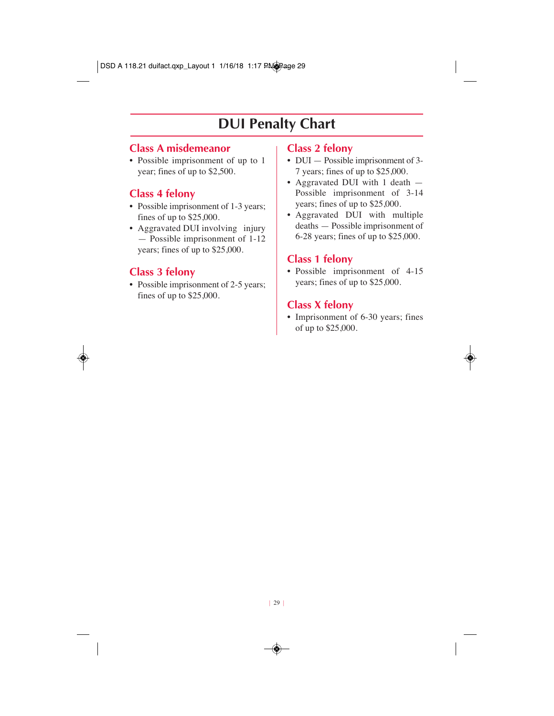### **DUI Penalty Chart**

### **Class A misdemeanor**

• Possible imprisonment of up to 1 year; fines of up to \$2,500.

### **Class 4 felony**

- Possible imprisonment of 1-3 years; fines of up to \$25,000.
- Aggravated DUI involving injury — Possible imprisonment of 1-12 years; fines of up to \$25,000.

### **Class 3 felony**

• Possible imprisonment of 2-5 years; fines of up to \$25,000.

#### **Class 2 felony**

- DUI Possible imprisonment of 3-7 years; fines of up to \$25,000.
- Aggravated DUI with 1 death  $-$ Possible imprisonment of 3-14 years; fines of up to \$25,000.
- Aggravated DUI with multiple deaths — Possible imprisonment of 6-28 years; fines of up to \$25,000.

### **Class 1 felony**

• Possible imprisonment of 4-15 years; fines of up to \$25,000.

### **Class X felony**

• Imprisonment of 6-30 years; fines of up to \$25,000.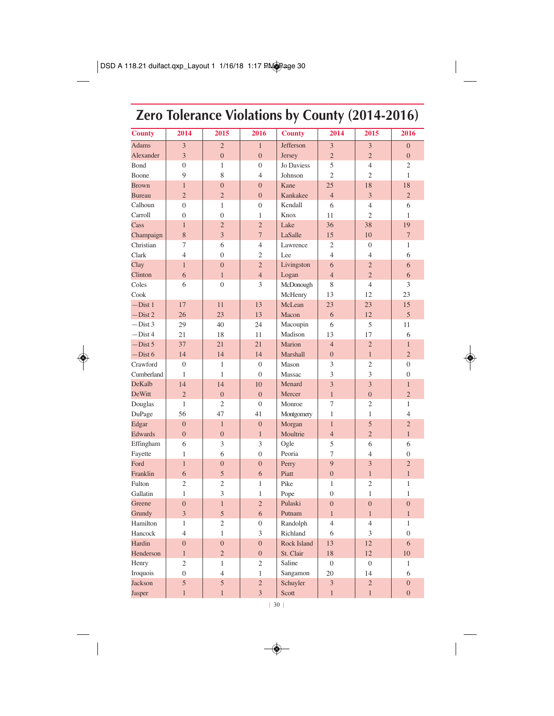## **Zero Tolerance Violations by County (2014-2016)**

| <b>County</b>                  | 2014                 | 2015                 | 2016                 | <b>County</b>      | 2014              | 2015                | 2016                           |
|--------------------------------|----------------------|----------------------|----------------------|--------------------|-------------------|---------------------|--------------------------------|
| <b>Adams</b>                   | 3                    | $\overline{c}$       | $\mathbf{1}$         | Jefferson          | 3                 | 3                   | $\overline{0}$                 |
| Alexander                      | $\overline{3}$       | $\overline{0}$       | $\overline{0}$       | <b>Jersey</b>      | $\overline{2}$    | $\overline{2}$      | $\overline{0}$                 |
| Bond                           | $\overline{0}$       | $\mathbf{1}$         | $\boldsymbol{0}$     | Jo Daviess         | 5                 | $\overline{4}$      | 2                              |
| Boone                          | 9                    | 8                    | $\overline{4}$       | Johnson            | $\overline{2}$    | $\overline{c}$      | $\mathbf{1}$                   |
| <b>Brown</b>                   | $\mathbf{1}$         | $\overline{0}$       | $\overline{0}$       | Kane               | 25                | 18                  | 18                             |
| <b>Bureau</b>                  | $\overline{2}$       | $\overline{c}$       | $\overline{0}$       | Kankakee           | $\overline{4}$    | 3                   | $\overline{2}$                 |
| Calhoun                        | $\overline{0}$       | $\mathbf{1}$         | $\boldsymbol{0}$     | Kendall            | 6                 | $\overline{4}$      | 6                              |
| Carroll                        | $\overline{0}$       | $\overline{0}$       | $\mathbf{1}$         | Knox               | 11                | $\overline{2}$      | $\mathbf{1}$                   |
| Cass                           | $\mathbf{1}$         | $\overline{2}$       | $\overline{2}$       | Lake               | 36                | 38                  | 19                             |
| Champaign                      | 8                    | $\overline{3}$       | $\overline{7}$       | LaSalle            | 15                | 10                  | $\overline{7}$                 |
| Christian                      | 7                    | 6                    | $\overline{4}$       | Lawrence           | $\overline{c}$    | $\overline{0}$      | $\mathbf{1}$                   |
| Clark                          | $\overline{4}$       | $\theta$             | $\overline{c}$       | Lee                | $\overline{4}$    | $\overline{4}$      | 6                              |
| Clay                           | $\mathbf{1}$         | $\mathbf{0}$         | $\overline{2}$       | Livingston         | 6                 | $\overline{c}$      | 6                              |
| Clinton                        | 6                    | $\mathbf{1}$         | $\overline{4}$       | Logan              | $\overline{4}$    | $\overline{2}$      | 6                              |
| Coles                          | 6                    | $\overline{0}$       | 3                    | McDonough          | 8                 | $\overline{4}$      | 3                              |
| Cook                           |                      |                      |                      | McHenry            | 13                | 12                  | 23                             |
| $-Dist1$                       | 17                   | 11                   | 13                   | McLean             | 23                | 23                  | 15                             |
| $-Dist$ 2                      | 26                   | 23                   | 13                   | Macon              | 6                 | 12                  | 5                              |
| $-Dist$ 3                      | 29                   | 40                   | 24                   | Macoupin           | 6                 | 5                   | 11                             |
| $-Dist4$                       | 21                   | 18                   | 11                   | Madison            | 13                | 17                  | 6                              |
| $-Dist 5$                      | 37                   | 21                   | 21                   | <b>Marion</b>      | $\overline{4}$    | $\overline{2}$      | $\mathbf{1}$                   |
| $-Dist 6$                      | 14                   | 14                   | 14                   | Marshall           | $\overline{0}$    | $\mathbf{1}$        | $\overline{2}$                 |
| Crawford                       | $\mathbf{0}$         | $\mathbf{1}$         | $\overline{0}$       | Mason              | 3                 | $\mathfrak{2}$      | $\overline{0}$                 |
| Cumberland                     | $\mathbf{1}$         | $\mathbf{1}$         | $\theta$             | Massac             | 3                 | 3                   | $\overline{0}$                 |
| <b>DeKalb</b><br><b>DeWitt</b> | 14<br>$\overline{2}$ | 14<br>$\overline{0}$ | 10<br>$\overline{0}$ | Menard<br>Mercer   | 3<br>$\mathbf{1}$ | 3<br>$\overline{0}$ | $\mathbf{1}$<br>$\overline{2}$ |
|                                | $\mathbf{1}$         | $\overline{c}$       | $\overline{0}$       | Monroe             | 7                 | $\overline{c}$      | $\mathbf{1}$                   |
| Douglas<br>DuPage              | 56                   | 47                   | 41                   | Montgomery         | $\mathbf{1}$      | $\mathbf{1}$        | $\overline{4}$                 |
| Edgar                          | $\overline{0}$       | $\mathbf{1}$         | $\boldsymbol{0}$     | Morgan             | $\mathbf{1}$      | 5                   | $\overline{c}$                 |
| Edwards                        | $\overline{0}$       | $\overline{0}$       | $\mathbf{1}$         | Moultrie           | $\overline{4}$    | $\overline{2}$      | $\overline{1}$                 |
| Effingham                      | 6                    | 3                    | 3                    | Ogle               | 5                 | 6                   | 6                              |
| Fayette                        | $\mathbf{1}$         | 6                    | $\boldsymbol{0}$     | Peoria             | 7                 | $\overline{4}$      | $\boldsymbol{0}$               |
| Ford                           | $\mathbf{1}$         | $\overline{0}$       | $\overline{0}$       | Perry              | 9                 | 3                   | $\overline{2}$                 |
| Franklin                       | 6                    | 5                    | 6                    | Piatt              | $\overline{0}$    | $\mathbf{1}$        | $\mathbf{1}$                   |
| Fulton                         | $\overline{2}$       | $\overline{c}$       | 1                    | Pike               | $\mathbf{1}$      | $\mathfrak{2}$      | $\mathbf{1}$                   |
| Gallatin                       | $\mathbf{1}$         | 3                    | $\mathbf{1}$         | Pope               | $\overline{0}$    | $\mathbf{1}$        | $\mathbf{1}$                   |
| Greene                         | $\overline{0}$       | $\mathbf{1}$         | $\overline{c}$       | Pulaski            | $\overline{0}$    | $\overline{0}$      | $\overline{0}$                 |
| Grundy                         | $\overline{3}$       | 5                    | 6                    | Putnam             | $\mathbf{1}$      | $\mathbf{1}$        | $\mathbf{1}$                   |
| Hamilton                       | $\mathbf{1}$         | $\overline{c}$       | $\boldsymbol{0}$     | Randolph           | $\overline{4}$    | $\overline{4}$      | $\mathbf{1}$                   |
| Hancock                        | $\overline{4}$       | $\mathbf{1}$         | 3                    | Richland           | 6                 | 3                   | $\overline{0}$                 |
| Hardin                         | $\overline{0}$       | $\overline{0}$       | $\overline{0}$       | <b>Rock Island</b> | 13                | 12                  | 6                              |
| Henderson                      | $\mathbf{1}$         | $\overline{2}$       | $\overline{0}$       | St. Clair          | 18                | 12                  | 10                             |
| Henry                          | $\overline{c}$       | $\mathbf{1}$         | $\overline{c}$       | Saline             | $\overline{0}$    | $\overline{0}$      | $\mathbf{1}$                   |
| Iroquois                       | $\overline{0}$       | $\overline{4}$       | $\mathbf{1}$         | Sangamon           | 20                | 14                  | 6                              |
| <b>Jackson</b>                 | 5                    | 5                    | $\overline{2}$       | Schuyler           | 3                 | $\overline{c}$      | $\overline{0}$                 |
| Jasper                         | $\overline{1}$       | $\overline{1}$       | 3                    | Scott              | $\overline{1}$    | $\overline{1}$      | $\overline{0}$                 |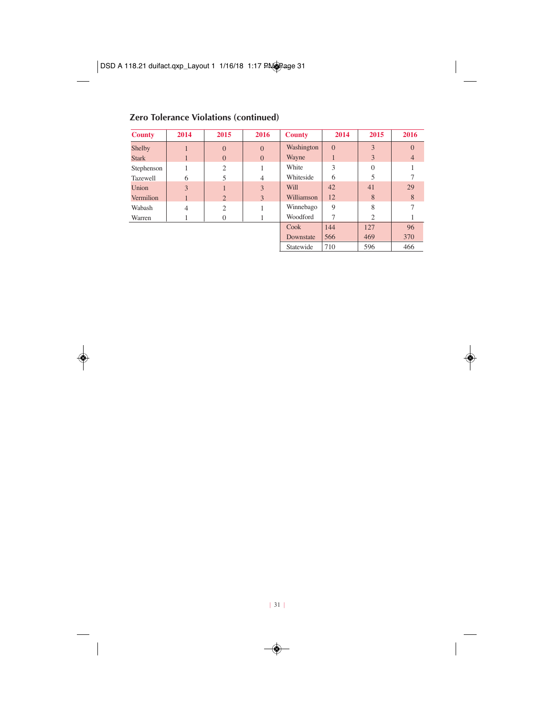#### **Zero Tolerance Violations (continued)**

| <b>County</b> | 2014           | 2015           | 2016           | <b>County</b> | 2014     | 2015     | 2016           |
|---------------|----------------|----------------|----------------|---------------|----------|----------|----------------|
| Shelby        |                | $\mathbf{0}$   | $\Omega$       | Washington    | $\Omega$ | 3        | $\overline{0}$ |
| <b>Stark</b>  |                | $\overline{0}$ | $\Omega$       | Wayne         |          | 3        | $\overline{4}$ |
| Stephenson    |                | 2              |                | White         | 3        | $\Omega$ |                |
| Tazewell      | 6              | 5              | $\overline{4}$ | Whiteside     | 6        |          |                |
| Union         | 3              |                | 3              | Will          | 42       | 41       | 29             |
| Vermilion     |                | $\overline{2}$ | 3              | Williamson    | 12       | 8        | 8              |
| Wabash        | $\overline{4}$ | $\overline{c}$ |                | Winnebago     | 9        | 8        |                |
| Warren        |                | $\Omega$       |                | Woodford      |          | 2        |                |
|               |                |                |                | Cook          | 144      | 127      | 96             |
|               |                |                |                | Downstate     | 566      | 469      | 370            |

Statewide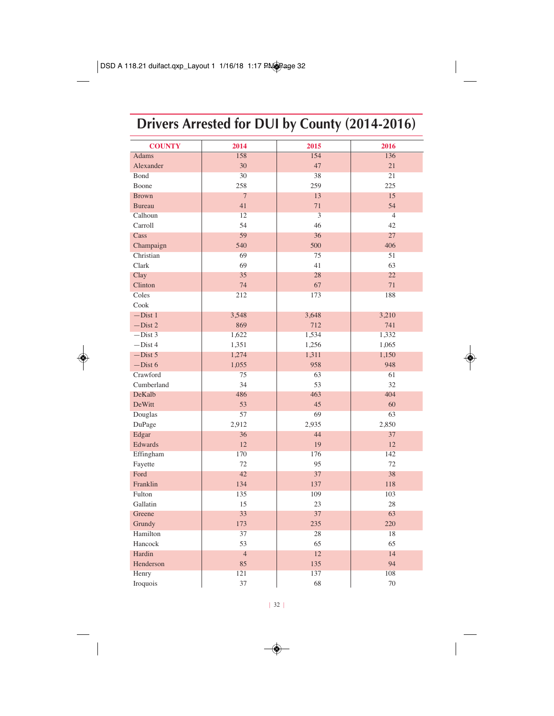# **Drivers Arrested for DUI by County (2014-2016)**

| <b>COUNTY</b> | 2014           | 2015                    | 2016            |
|---------------|----------------|-------------------------|-----------------|
| <b>Adams</b>  | 158            | 154                     | 136             |
| Alexander     | 30             | 47                      | 21              |
| Bond          | 30             | 38                      | $\overline{21}$ |
| Boone         | 258            | 259                     | 225             |
| <b>Brown</b>  | $\overline{7}$ | 13                      | 15              |
| <b>Bureau</b> | 41             | 71                      | 54              |
| Calhoun       | 12             | $\overline{\mathbf{3}}$ | $\overline{4}$  |
| Carroll       | 54             | 46                      | 42              |
| Cass          | 59             | 36                      | 27              |
| Champaign     | 540            | 500                     | 406             |
| Christian     | 69             | 75                      | 51              |
| Clark         | 69             | 41                      | 63              |
| Clay          | 35             | 28                      | 22              |
| Clinton       | 74             | 67                      | 71              |
| Coles         | 212            | 173                     | 188             |
| Cook          |                |                         |                 |
| $-Dist1$      | 3,548          | 3,648                   | 3,210           |
| $-Dist 2$     | 869            | 712                     | 741             |
| $-Dist$ 3     | 1,622          | 1,534                   | 1,332           |
| $-Dist$ 4     | 1,351          | 1,256                   | 1,065           |
| $-Dist 5$     | 1,274          | 1,311                   | 1,150           |
| $-Dist 6$     | 1,055          | 958                     | 948             |
| Crawford      | 75             | 63                      | 61              |
| Cumberland    | 34             | 53                      | 32              |
| DeKalb        | 486            | 463                     | 404             |
| DeWitt        | 53             | 45                      | 60              |
| Douglas       | 57             | 69                      | 63              |
| DuPage        | 2,912          | 2,935                   | 2,850           |
| Edgar         | 36             | 44                      | 37              |
| Edwards       | 12             | 19                      | 12              |
| Effingham     | 170            | 176                     | 142             |
| Fayette       | 72             | 95                      | 72              |
| Ford          | 42             | 37                      | 38              |
| Franklin      | 134            | 137                     | 118             |
| Fulton        | 135            | 109                     | 103             |
| Gallatin      | 15             | 23                      | 28              |
| Greene        | 33             | 37                      | 63              |
| Grundy        | 173            | 235                     | 220             |
| Hamilton      | 37             | 28                      | 18              |
| Hancock       | 53             | 65                      | 65              |
| Hardin        | $\overline{4}$ | 12                      | 14              |
| Henderson     | 85             | 135                     | 94              |
| Henry         | 121            | 137                     | 108             |
| Iroquois      | 37             | 68                      | 70              |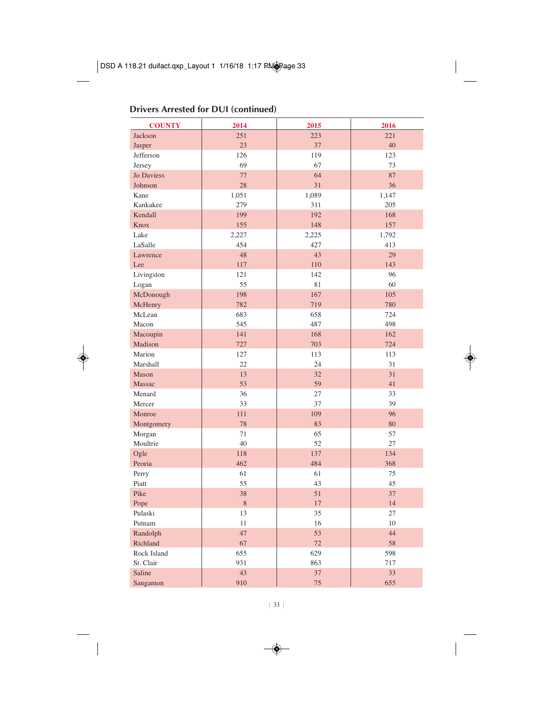#### **Drivers Arrested for DUI (continued)**

| <b>COUNTY</b>     | 2014  | 2015  | 2016  |
|-------------------|-------|-------|-------|
| Jackson           | 251   | 223   | 221   |
| Jasper            | 23    | 37    | 40    |
| Jefferson         | 126   | 119   | 123   |
| Jersey            | 69    | 67    | 73    |
| <b>Jo Daviess</b> | 77    | 64    | 87    |
| Johnson           | 28    | 31    | 36    |
| Kane              | 1,051 | 1,089 | 1,147 |
| Kankakee          | 279   | 311   | 205   |
| Kendall           | 199   | 192   | 168   |
| Knox              | 155   | 148   | 157   |
| Lake              | 2,227 | 2,225 | 1,792 |
| LaSalle           | 454   | 427   | 413   |
| Lawrence          | 48    | 43    | 29    |
| Lee               | 117   | 110   | 143   |
| Livingston        | 121   | 142   | 96    |
| Logan             | 55    | 81    | 60    |
| McDonough         | 198   | 167   | 105   |
| McHenry           | 782   | 719   | 780   |
| McLean            | 683   | 658   | 724   |
| Macon             | 545   | 487   | 498   |
| Macoupin          | 141   | 168   | 162   |
| Madison           | 727   | 703   | 724   |
| Marion            | 127   | 113   | 113   |
| Marshall          | 22    | 24    | 31    |
| Mason             | 13    | 32    | 31    |
| Massac            | 53    | 59    | 41    |
| Menard            | 36    | 27    | 33    |
| Mercer            | 33    | 37    | 39    |
| Monroe            | 111   | 109   | 96    |
| Montgomery        | 78    | 83    | 80    |
| Morgan            | 71    | 65    | 57    |
| Moultrie          | 40    | 52    | 27    |
| Ogle              | 118   | 137   | 134   |
| Peoria            | 462   | 484   | 368   |
| Perry             | 61    | 61    | 75    |
| Piatt             | 55    | 43    | 45    |
| Pike              | 38    | 51    | 37    |
| Pope              | 8     | 17    | 14    |
| Pulaski           | 13    | 35    | 27    |
| Putnam            | 11    | 16    | 10    |
| Randolph          | 47    | 53    | 44    |
| Richland          | 67    | 72    | 58    |
| Rock Island       | 655   | 629   | 598   |
| St. Clair         | 931   | 863   | 717   |
| Saline            | 43    | 37    | 33    |
| Sangamon          | 910   | 75    | 655   |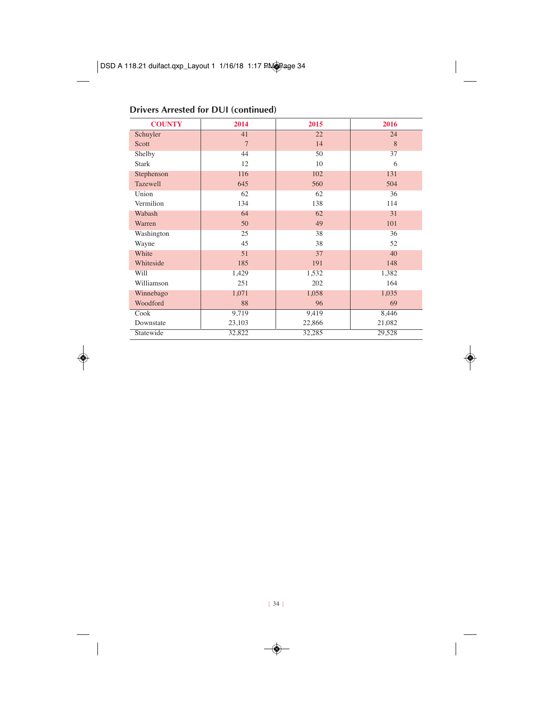#### **Drivers Arrested for DUI (continued)**

| <b>COUNTY</b> | 2014           | 2015   | 2016   |
|---------------|----------------|--------|--------|
| Schuyler      | 41             | 22     | 24     |
| Scott         | $\overline{7}$ | 14     | 8      |
| Shelby        | 44             | 50     | 37     |
| <b>Stark</b>  | 12             | 10     | 6      |
| Stephenson    | 116            | 102    | 131    |
| Tazewell      | 645            | 560    | 504    |
| Union         | 62             | 62     | 36     |
| Vermilion     | 134            | 138    | 114    |
| Wabash        | 64             | 62     | 31     |
| Warren        | 50             | 49     | 101    |
| Washington    | 25             | 38     | 36     |
| Wayne         | 45             | 38     | 52     |
| White         | 51             | 37     | 40     |
| Whiteside     | 185            | 191    | 148    |
| Will          | 1,429          | 1,532  | 1,382  |
| Williamson    | 251            | 202    | 164    |
| Winnebago     | 1,071          | 1,058  | 1,035  |
| Woodford      | 88             | 96     | 69     |
| Cook          | 9,719          | 9,419  | 8,446  |
| Downstate     | 23,103         | 22,866 | 21,082 |
| Statewide     | 32,822         | 32,285 | 29,528 |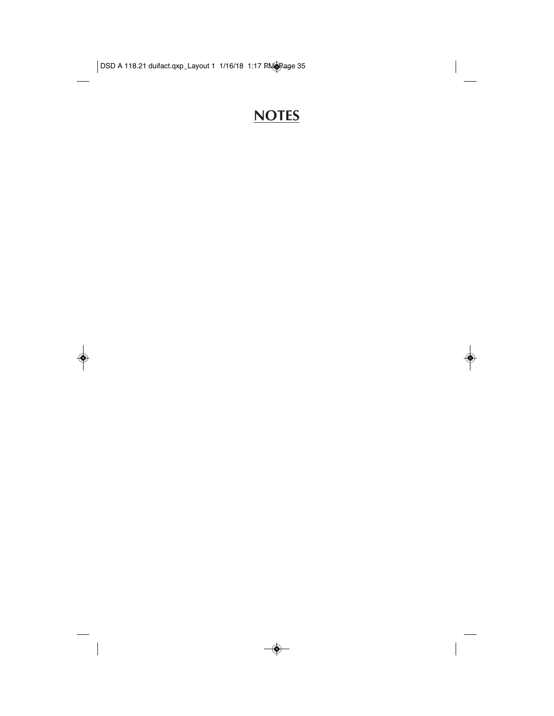### **NOTES**